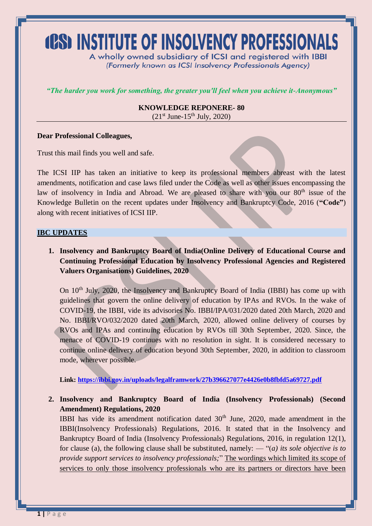# **(CS) INSTITUTE OF INSOLVENCY PROFESSIONALS**

A wholly owned subsidiary of ICSI and registered with IBBI (Formerly known as ICSI Insolvency Professionals Agency)

*"The harder you work for something, the greater you'll feel when you achieve it-Anonymous"*

**KNOWLEDGE REPONERE- 80**  $(21^{st}$  June-15<sup>th</sup> July, 2020)

#### **Dear Professional Colleagues,**

Trust this mail finds you well and safe.

The ICSI IIP has taken an initiative to keep its professional members abreast with the latest amendments, notification and case laws filed under the Code as well as other issues encompassing the law of insolvency in India and Abroad. We are pleased to share with you our 80<sup>th</sup> issue of the Knowledge Bulletin on the recent updates under Insolvency and Bankruptcy Code, 2016 (**"Code"**) along with recent initiatives of ICSI IIP.

#### **IBC UPDATES**

**1. Insolvency and Bankruptcy Board of India(Online Delivery of Educational Course and Continuing Professional Education by Insolvency Professional Agencies and Registered Valuers Organisations) Guidelines, 2020**

On 10<sup>th</sup> July, 2020, the Insolvency and Bankruptcy Board of India (IBBI) has come up with guidelines that govern the online delivery of education by IPAs and RVOs. In the wake of COVID-19, the IBBI, vide its advisories No. IBBI/IPA/031/2020 dated 20th March, 2020 and No. IBBI/RVO/032/2020 dated 20th March, 2020, allowed online delivery of courses by RVOs and IPAs and continuing education by RVOs till 30th September, 2020. Since, the menace of COVID-19 continues with no resolution in sight. It is considered necessary to continue online delivery of education beyond 30th September, 2020, in addition to classroom mode, wherever possible.

**Link:<https://ibbi.gov.in/uploads/legalframwork/27b396627077e4426e0b8fbfd5a69727.pdf>**

**2. Insolvency and Bankruptcy Board of India (Insolvency Professionals) (Second Amendment) Regulations, 2020**

IBBI has vide its amendment notification dated  $30<sup>th</sup>$  June, 2020, made amendment in the IBBI(Insolvency Professionals) Regulations, 2016. It stated that in the Insolvency and Bankruptcy Board of India (Insolvency Professionals) Regulations, 2016, in regulation 12(1), for clause (a), the following clause shall be substituted, namely: — "(*a) its sole objective is to provide support services to insolvency professionals;*" The wordings which limited its scope of services to only those insolvency professionals who are its partners or directors have been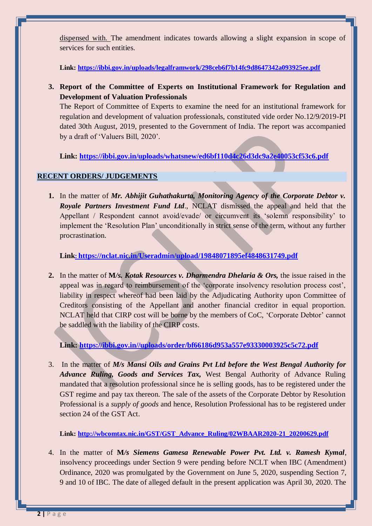dispensed with. The amendment indicates towards allowing a slight expansion in scope of services for such entities.

**Link:<https://ibbi.gov.in/uploads/legalframwork/298ceb6f7b14fc9d8647342a093925ee.pdf>**

**3. Report of the Committee of Experts on Institutional Framework for Regulation and Development of Valuation Professionals**

The Report of Committee of Experts to examine the need for an institutional framework for regulation and development of valuation professionals, constituted vide order No.12/9/2019-PI dated 30th August, 2019, presented to the Government of India. The report was accompanied by a draft of 'Valuers Bill, 2020'.

**Link:<https://ibbi.gov.in/uploads/whatsnew/ed6bf110d4c26d3dc9a2e40053cf53c6.pdf>**

# **RECENT ORDERS/ JUDGEMENTS**

**1.** In the matter of *Mr. Abhijit Guhathakurta, Monitoring Agency of the Corporate Debtor v. Royale Partners Investment Fund Ltd*., NCLAT dismissed the appeal and held that the Appellant / Respondent cannot avoid/evade/ or circumvent its 'solemn responsibility' to implement the 'Resolution Plan' unconditionally in strict sense of the term, without any further procrastination.

**Link: <https://nclat.nic.in/Useradmin/upload/19848071895ef4848631749.pdf>**

**2.** In the matter of **M***/s. Kotak Resources v. Dharmendra Dhelaria & Ors,* the issue raised in the appeal was in regard to reimbursement of the 'corporate insolvency resolution process cost', liability in respect whereof had been laid by the Adjudicating Authority upon Committee of Creditors consisting of the Appellant and another financial creditor in equal proportion. NCLAT held that CIRP cost will be borne by the members of CoC, 'Corporate Debtor' cannot be saddled with the liability of the CIRP costs.

**Link: [https://ibbi.gov.in//uploads/order/bf66186d953a557e93330003925c5c72.pdf](https://ibbi.gov.in/uploads/order/bf66186d953a557e93330003925c5c72.pdf)**

3. In the matter of *M/s Mansi Oils and Grains Pvt Ltd before the West Bengal Authority for Advance Ruling, Goods and Services Tax,* West Bengal Authority of Advance Ruling mandated that a resolution professional since he is selling goods, has to be registered under the GST regime and pay tax thereon. The sale of the assets of the Corporate Debtor by Resolution Professional is a *supply of goods* and hence, Resolution Professional has to be registered under section 24 of the GST Act.

**Link: [http://wbcomtax.nic.in/GST/GST\\_Advance\\_Ruling/02WBAAR2020-21\\_20200629.pdf](http://wbcomtax.nic.in/GST/GST_Advance_Ruling/02WBAAR2020-21_20200629.pdf)**

4. In the matter of **M***/s Siemens Gamesa Renewable Power Pvt. Ltd. v. Ramesh Kymal*, insolvency proceedings under Section 9 were pending before NCLT when IBC (Amendment) Ordinance, 2020 was promulgated by the Government on June 5, 2020, suspending Section 7, 9 and 10 of IBC. The date of alleged default in the present application was April 30, 2020. The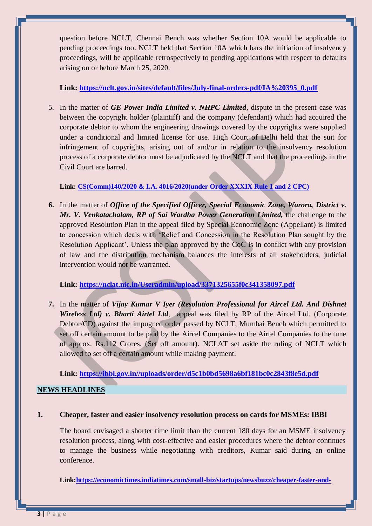question before NCLT, Chennai Bench was whether Section 10A would be applicable to pending proceedings too. NCLT held that Section 10A which bars the initiation of insolvency proceedings, will be applicable retrospectively to pending applications with respect to defaults arising on or before March 25, 2020.

## **Link: [https://nclt.gov.in/sites/default/files/July-final-orders-pdf/IA%20395\\_0.pdf](https://nclt.gov.in/sites/default/files/July-final-orders-pdf/IA%20395_0.pdf)**

5. In the matter of *GE Power India Limited v. NHPC Limited,* dispute in the present case was between the copyright holder (plaintiff) and the company (defendant) which had acquired the corporate debtor to whom the engineering drawings covered by the copyrights were supplied under a conditional and limited license for use. High Court of Delhi held that the suit for infringement of copyrights, arising out of and/or in relation to the insolvency resolution process of a corporate debtor must be adjudicated by the NCLT and that the proceedings in the Civil Court are barred.

# **Link: [CS\(Comm\)1](http://164.100.69.66/jsearch/)40/2020 & I.A. 4016/2020(under Order XXXIX Rule 1 and 2 CPC)**

**6.** In the matter of *Office of the Specified Officer, Special Economic Zone, Warora, District v. Mr. V. Venkatachalam, RP of Sai Wardha Power Generation Limited, the challenge to the* approved Resolution Plan in the appeal filed by Special Economic Zone (Appellant) is limited to concession which deals with 'Relief and Concession in the Resolution Plan sought by the Resolution Applicant'. Unless the plan approved by the CoC is in conflict with any provision of law and the distribution mechanism balances the interests of all stakeholders, judicial intervention would not be warranted.

# **Link:<https://nclat.nic.in/Useradmin/upload/3371325655f0c341358097.pdf>**

**7.** In the matter of *Vijay Kumar V Iyer (Resolution Professional for Aircel Ltd. And Dishnet Wireless Ltd) v. Bharti Airtel Ltd*, appeal was filed by RP of the Aircel Ltd. (Corporate Debtor/CD) against the impugned order passed by NCLT, Mumbai Bench which permitted to set off certain amount to be paid by the Aircel Companies to the Airtel Companies to the tune of approx. Rs.112 Crores. (Set off amount). NCLAT set aside the ruling of NCLT which allowed to set off a certain amount while making payment.

## **Link: [https://ibbi.gov.in//uploads/order/d5c1b0bd5698a6bf181bc0c2843f8e5d.pdf](https://ibbi.gov.in/uploads/order/d5c1b0bd5698a6bf181bc0c2843f8e5d.pdf)**

## **NEWS HEADLINES**

## **1. Cheaper, faster and easier insolvency resolution process on cards for MSMEs: IBBI**

The board envisaged a shorter time limit than the current 180 days for an MSME insolvency resolution process, along with cost-effective and easier procedures where the debtor continues to manage the business while negotiating with creditors, Kumar said during an online conference.

**Link[:https://economictimes.indiatimes.com/small-biz/startups/newsbuzz/cheaper-faster-and-](https://economictimes.indiatimes.com/small-biz/startups/newsbuzz/cheaper-faster-and-easier-insolvency-resolution-process-on-cards-for-msmes-ibbi/articleshow/77068772.cms)**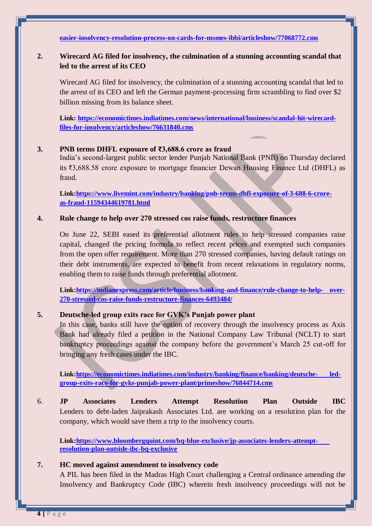**[easier-insolvency-resolution-process-on-cards-for-msmes-ibbi/articleshow/77068772.cms](https://economictimes.indiatimes.com/small-biz/startups/newsbuzz/cheaper-faster-and-easier-insolvency-resolution-process-on-cards-for-msmes-ibbi/articleshow/77068772.cms)**

# **2. Wirecard AG filed for insolvency, the culmination of a stunning accounting scandal that led to the arrest of its CEO**

Wirecard AG filed for insolvency, the culmination of a stunning accounting scandal that led to the arrest of its CEO and left the German payment-processing firm scrambling to find over \$2 billion missing from its balance sheet.

**Link: [https://economictimes.indiatimes.com/news/international/business/scandal-hit-wirecard](https://economictimes.indiatimes.com/news/international/business/scandal-hit-wirecard-files-for-insolvency/articleshow/76631840.cms)[files-for-insolvency/articleshow/76631840.cms](https://economictimes.indiatimes.com/news/international/business/scandal-hit-wirecard-files-for-insolvency/articleshow/76631840.cms)**

#### **3. PNB terms DHFL exposure of ₹3,688.6 crore as fraud**

India's second-largest public sector lender Punjab National Bank (PNB) on Thursday declared its ₹3,688.58 crore exposure to mortgage financier Dewan Housing Finance Ltd (DHFL) as fraud.

**Link[:https://www.livemint.com/industry/banking/pnb-terms-dhfl-exposure-of-3-688-6-crore](https://www.livemint.com/industry/banking/pnb-terms-dhfl-exposure-of-3-688-6-crore-as-fraud-11594344619781.html)[as-fraud-11594344619781.html](https://www.livemint.com/industry/banking/pnb-terms-dhfl-exposure-of-3-688-6-crore-as-fraud-11594344619781.html)**

#### **4. Rule change to help over 270 stressed cos raise funds, restructure finances**

On June 22, SEBI eased its preferential allotment rules to help stressed companies raise capital, changed the pricing formula to reflect recent prices and exempted such companies from the open offer requirement. More than 270 stressed companies, having default ratings on their debt instruments, are expected to benefit from recent relaxations in regulatory norms, enabling them to raise funds through preferential allotment.

**Link[:https://indianexpress.com/article/business/banking-and-finance/rule-change-to-help-](https://indianexpress.com/article/business/banking-and-finance/rule-change-to-help-over-270-stressed-cos-raise-funds-restructure-finances-6493484/) over-[270-stressed-cos-raise-funds-restructure-finances-6493484/](https://indianexpress.com/article/business/banking-and-finance/rule-change-to-help-over-270-stressed-cos-raise-funds-restructure-finances-6493484/)**

## **5. Deutsche-led group exits race for GVK's Punjab power plant**

In this case, banks still have the option of recovery through the insolvency process as Axis Bank had already filed a petition in the National Company Law Tribunal (NCLT) to start bankruptcy proceedings against the company before the government's March 25 cut-off for bringing any fresh cases under the IBC.

**Link[:https://economictimes.indiatimes.com/industry/banking/finance/banking/deutsche-](https://economictimes.indiatimes.com/industry/banking/finance/banking/deutsche-led-group-exits-race-for-gvks-punjab-power-plant/primeshow/76844714.cms) led[group-exits-race-for-gvks-punjab-power-plant/primeshow/76844714.cms](https://economictimes.indiatimes.com/industry/banking/finance/banking/deutsche-led-group-exits-race-for-gvks-punjab-power-plant/primeshow/76844714.cms)**

6. **JP Associates Lenders Attempt Resolution Plan Outside IBC** Lenders to debt-laden Jaiprakash Associates Ltd. are working on a resolution plan for the company, which would save them a trip to the insolvency courts.

**Link[:https://www.bloombergquint.com/bq-blue-exclusive/jp-associates-lenders-attempt](https://www.bloombergquint.com/bq-blue-exclusive/jp-associates-lenders-attempt-resolution-plan-outside-ibc-bq-exclusive)[resolution-plan-outside-ibc-bq-exclusive](https://www.bloombergquint.com/bq-blue-exclusive/jp-associates-lenders-attempt-resolution-plan-outside-ibc-bq-exclusive)**

## **7. HC moved against amendment to insolvency code**

A PIL has been filed in the Madras High Court challenging a Central ordinance amending the Insolvency and Bankruptcy Code (IBC) wherein fresh insolvency proceedings will not be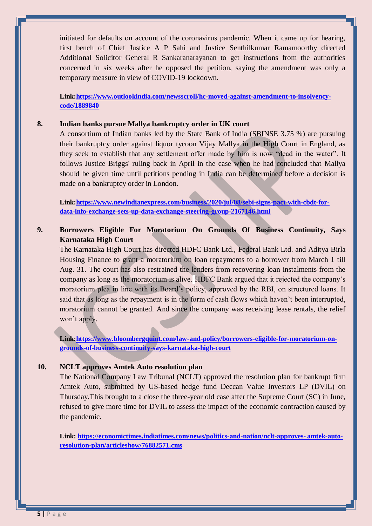initiated for defaults on account of the coronavirus pandemic. When it came up for hearing, first bench of Chief Justice A P Sahi and Justice Senthilkumar Ramamoorthy directed Additional Solicitor General R Sankaranarayanan to get instructions from the authorities concerned in six weeks after he opposed the petition, saying the amendment was only a temporary measure in view of COVID-19 lockdown.

**Link[:https://www.outlookindia.com/newsscroll/hc-moved-against-amendment-to-insolvency](https://www.outlookindia.com/newsscroll/hc-moved-against-amendment-to-insolvency-code/1889840)[code/1889840](https://www.outlookindia.com/newsscroll/hc-moved-against-amendment-to-insolvency-code/1889840)**

#### **8. Indian banks pursue Mallya bankruptcy order in UK court**

A consortium of Indian banks led by the State Bank of India (SBINSE 3.75 %) are pursuing their bankruptcy order against liquor tycoon Vijay Mallya in the High Court in England, as they seek to establish that any settlement offer made by him is now "dead in the water". It follows Justice Briggs' ruling back in April in the case when he had concluded that Mallya should be given time until petitions pending in India can be determined before a decision is made on a bankruptcy order in London.

**Link[:https://www.newindianexpress.com/business/2020/jul/08/sebi-signs-pact-with-cbdt-for](https://www.newindianexpress.com/business/2020/jul/08/sebi-signs-pact-with-cbdt-for-data-info-exchange-sets-up-data-exchange-steering-group-2167146.html)[data-info-exchange-sets-up-data-exchange-steering-group-2167146.html](https://www.newindianexpress.com/business/2020/jul/08/sebi-signs-pact-with-cbdt-for-data-info-exchange-sets-up-data-exchange-steering-group-2167146.html)**

# **9. Borrowers Eligible For Moratorium On Grounds Of Business Continuity, Says Karnataka High Court**

The Karnataka High Court has directed HDFC Bank Ltd., Federal Bank Ltd. and Aditya Birla Housing Finance to grant a moratorium on loan repayments to a borrower from March 1 till Aug. 31. The court has also restrained the lenders from recovering loan instalments from the company as long as the moratorium is alive. HDFC Bank argued that it rejected the company's moratorium plea in line with its Board's policy, approved by the RBI, on structured loans. It said that as long as the repayment is in the form of cash flows which haven't been interrupted, moratorium cannot be granted. And since the company was receiving lease rentals, the relief won't apply.

**Link[:https://www.bloombergquint.com/law-and-policy/borrowers-eligible-for-moratorium-on](https://www.bloombergquint.com/law-and-policy/borrowers-eligible-for-moratorium-on-grounds-of-business-continuity-says-karnataka-high-court)[grounds-of-business-continuity-says-karnataka-high-court](https://www.bloombergquint.com/law-and-policy/borrowers-eligible-for-moratorium-on-grounds-of-business-continuity-says-karnataka-high-court)**

## **10. NCLT approves Amtek Auto resolution plan**

The National Company Law Tribunal (NCLT) approved the resolution plan for bankrupt firm Amtek Auto, submitted by US-based hedge fund Deccan Value Investors LP (DVIL) on Thursday.This brought to a close the three-year old case after the Supreme Court (SC) in June, refused to give more time for DVIL to assess the impact of the economic contraction caused by the pandemic.

**Link: [https://economictimes.indiatimes.com/news/politics-and-nation/nclt-approves-](https://economictimes.indiatimes.com/news/politics-and-nation/nclt-approves-amtek-auto-resolution-plan/articleshow/76882571.cms) amtek-auto[resolution-plan/articleshow/76882571.cms](https://economictimes.indiatimes.com/news/politics-and-nation/nclt-approves-amtek-auto-resolution-plan/articleshow/76882571.cms)**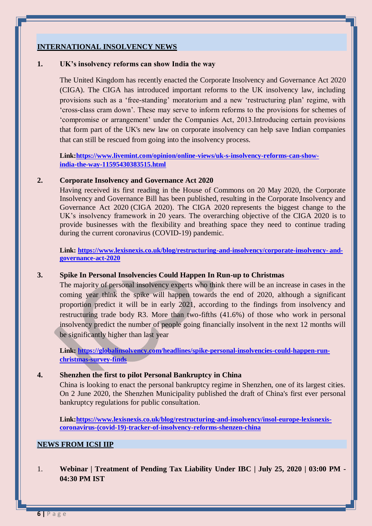# **INTERNATIONAL INSOLVENCY NEWS**

#### **1. UK's insolvency reforms can show India the way**

The United Kingdom has recently enacted the Corporate Insolvency and Governance Act 2020 (CIGA). The CIGA has introduced important reforms to the UK insolvency law, including provisions such as a 'free-standing' moratorium and a new 'restructuring plan' regime, with 'cross-class cram down'. These may serve to inform reforms to the provisions for schemes of 'compromise or arrangement' under the Companies Act, 2013.Introducing certain provisions that form part of the UK's new law on corporate insolvency can help save Indian companies that can still be rescued from going into the insolvency process.

**Link[:https://www.livemint.com/opinion/online-views/uk-s-insolvency-reforms-can-show](https://www.livemint.com/opinion/online-views/uk-s-insolvency-reforms-can-show-india-the-way-11595430383515.html)[india-the-way-11595430383515.html](https://www.livemint.com/opinion/online-views/uk-s-insolvency-reforms-can-show-india-the-way-11595430383515.html)**

#### **2. Corporate Insolvency and Governance Act 2020**

Having received its first reading in the House of Commons on 20 May 2020, the Corporate Insolvency and Governance Bill has been published, resulting in the Corporate Insolvency and Governance Act 2020 (CIGA 2020). The CIGA 2020 represents the biggest change to the UK's insolvency framework in 20 years. The overarching objective of the CIGA 2020 is to provide businesses with the flexibility and breathing space they need to continue trading during the current coronavirus (COVID-19) pandemic.

**Link: [https://www.lexisnexis.co.uk/blog/restructuring-and-insolvency/corporate-insolvency-](https://www.lexisnexis.co.uk/blog/restructuring-and-insolvency/corporate-insolvency-and-governance-act-2020) and[governance-act-2020](https://www.lexisnexis.co.uk/blog/restructuring-and-insolvency/corporate-insolvency-and-governance-act-2020)**

#### **3. Spike In Personal Insolvencies Could Happen In Run-up to Christmas**

The majority of personal insolvency experts who think there will be an increase in cases in the coming year think the spike will happen towards the end of 2020, although a significant proportion predict it will be in early 2021, according to the findings from insolvency and restructuring trade body R3. More than two-fifths (41.6%) of those who work in personal insolvency predict the number of people going financially insolvent in the next 12 months will be significantly higher than last year

Link: [https://globalinsolvency.com/headlines/spike-personal-insolvencies-could-happen-run](https://globalinsolvency.com/headlines/spike-personal-insolvencies-could-happen-run-christmas-survey-finds)**[christmas-survey-finds](https://globalinsolvency.com/headlines/spike-personal-insolvencies-could-happen-run-christmas-survey-finds)**

#### **4. Shenzhen the first to pilot Personal Bankruptcy in China**

China is looking to enact the personal bankruptcy regime in Shenzhen, one of its largest cities. On 2 June 2020, the Shenzhen Municipality published the draft of China's first ever personal bankruptcy regulations for public consultation.

**Link[:https://www.lexisnexis.co.uk/blog/restructuring-and-insolvency/insol-europe-lexisnexis](https://www.lexisnexis.co.uk/blog/restructuring-and-insolvency/insol-europe-lexisnexis-coronavirus-(covid-19)-tracker-of-insolvency-reforms-shenzen-china)[coronavirus-\(covid-19\)-tracker-of-insolvency-reforms-shenzen-china](https://www.lexisnexis.co.uk/blog/restructuring-and-insolvency/insol-europe-lexisnexis-coronavirus-(covid-19)-tracker-of-insolvency-reforms-shenzen-china)**

#### **NEWS FROM ICSI IIP**

1. **Webinar | Treatment of Pending Tax Liability Under IBC | July 25, 2020 | 03:00 PM - 04:30 PM IST**